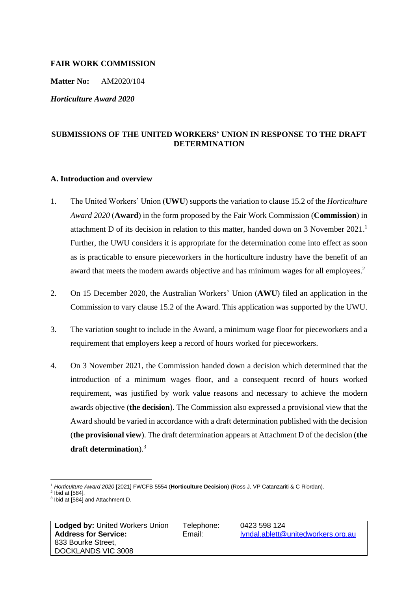## **FAIR WORK COMMISSION**

**Matter No:** AM2020/104

*Horticulture Award 2020*

# **SUBMISSIONS OF THE UNITED WORKERS' UNION IN RESPONSE TO THE DRAFT DETERMINATION**

## **A. Introduction and overview**

- 1. The United Workers' Union (**UWU**) supports the variation to clause 15.2 of the *Horticulture Award 2020* (**Award**) in the form proposed by the Fair Work Commission (**Commission**) in attachment D of its decision in relation to this matter, handed down on 3 November 2021. 1 Further, the UWU considers it is appropriate for the determination come into effect as soon as is practicable to ensure pieceworkers in the horticulture industry have the benefit of an award that meets the modern awards objective and has minimum wages for all employees.<sup>2</sup>
- 2. On 15 December 2020, the Australian Workers' Union (**AWU**) filed an application in the Commission to vary clause 15.2 of the Award. This application was supported by the UWU.
- 3. The variation sought to include in the Award, a minimum wage floor for pieceworkers and a requirement that employers keep a record of hours worked for pieceworkers.
- 4. On 3 November 2021, the Commission handed down a decision which determined that the introduction of a minimum wages floor, and a consequent record of hours worked requirement, was justified by work value reasons and necessary to achieve the modern awards objective (**the decision**). The Commission also expressed a provisional view that the Award should be varied in accordance with a draft determination published with the decision (**the provisional view**). The draft determination appears at Attachment D of the decision (**the draft determination**).<sup>3</sup>

<sup>1</sup> *Horticulture Award 2020* [2021] FWCFB 5554 (**Horticulture Decision**) (Ross J, VP Catanzariti & C Riordan).

 $2$  Ibid at [584].

<sup>3</sup> Ibid at [584] and Attachment D.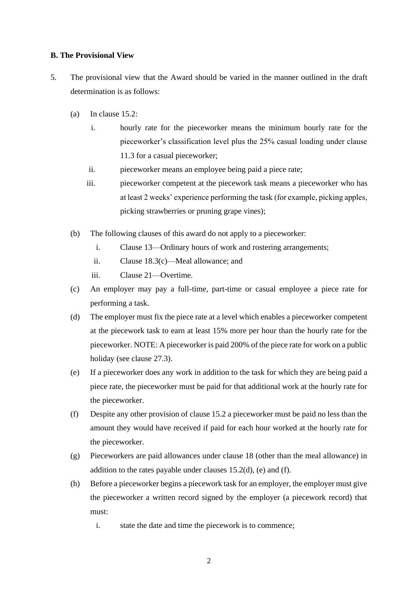## **B. The Provisional View**

- 5. The provisional view that the Award should be varied in the manner outlined in the draft determination is as follows:
	- (a) In clause 15.2:
		- i. hourly rate for the pieceworker means the minimum hourly rate for the pieceworker's classification level plus the 25% casual loading under clause 11.3 for a casual pieceworker;
		- ii. pieceworker means an employee being paid a piece rate;
		- iii. pieceworker competent at the piecework task means a pieceworker who has at least 2 weeks' experience performing the task (for example, picking apples, picking strawberries or pruning grape vines);
	- (b) The following clauses of this award do not apply to a pieceworker:
		- i. Clause 13—Ordinary hours of work and rostering arrangements;
		- ii. Clause 18.3(c)—Meal allowance; and
		- iii. Clause 21—Overtime.
	- (c) An employer may pay a full-time, part-time or casual employee a piece rate for performing a task.
	- (d) The employer must fix the piece rate at a level which enables a pieceworker competent at the piecework task to earn at least 15% more per hour than the hourly rate for the pieceworker. NOTE: A pieceworker is paid 200% of the piece rate for work on a public holiday (see clause 27.3).
	- (e) If a pieceworker does any work in addition to the task for which they are being paid a piece rate, the pieceworker must be paid for that additional work at the hourly rate for the pieceworker.
	- (f) Despite any other provision of clause 15.2 a pieceworker must be paid no less than the amount they would have received if paid for each hour worked at the hourly rate for the pieceworker.
	- (g) Pieceworkers are paid allowances under clause 18 (other than the meal allowance) in addition to the rates payable under clauses 15.2(d), (e) and (f).
	- (h) Before a pieceworker begins a piecework task for an employer, the employer must give the pieceworker a written record signed by the employer (a piecework record) that must:
		- i. state the date and time the piecework is to commence;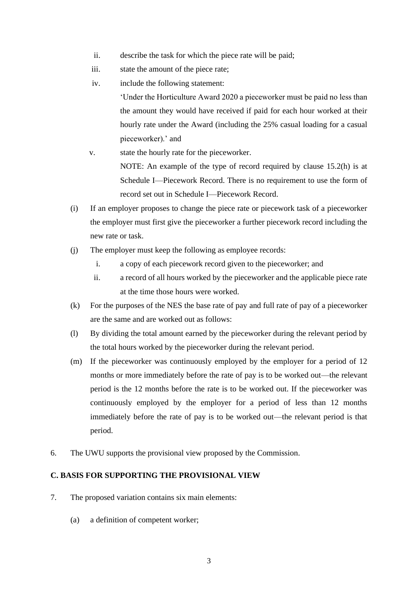- ii. describe the task for which the piece rate will be paid;
- iii. state the amount of the piece rate;
- iv. include the following statement:

'Under the Horticulture Award 2020 a pieceworker must be paid no less than the amount they would have received if paid for each hour worked at their hourly rate under the Award (including the 25% casual loading for a casual pieceworker).' and

- v. state the hourly rate for the pieceworker. NOTE: An example of the type of record required by clause 15.2(h) is at Schedule I—Piecework Record. There is no requirement to use the form of record set out in Schedule I—Piecework Record.
- (i) If an employer proposes to change the piece rate or piecework task of a pieceworker the employer must first give the pieceworker a further piecework record including the new rate or task.
- (j) The employer must keep the following as employee records:
	- i. a copy of each piecework record given to the pieceworker; and
	- ii. a record of all hours worked by the pieceworker and the applicable piece rate at the time those hours were worked.
- (k) For the purposes of the NES the base rate of pay and full rate of pay of a pieceworker are the same and are worked out as follows:
- (l) By dividing the total amount earned by the pieceworker during the relevant period by the total hours worked by the pieceworker during the relevant period.
- (m) If the pieceworker was continuously employed by the employer for a period of 12 months or more immediately before the rate of pay is to be worked out—the relevant period is the 12 months before the rate is to be worked out. If the pieceworker was continuously employed by the employer for a period of less than 12 months immediately before the rate of pay is to be worked out—the relevant period is that period.
- 6. The UWU supports the provisional view proposed by the Commission.

# **C. BASIS FOR SUPPORTING THE PROVISIONAL VIEW**

- 7. The proposed variation contains six main elements:
	- (a) a definition of competent worker;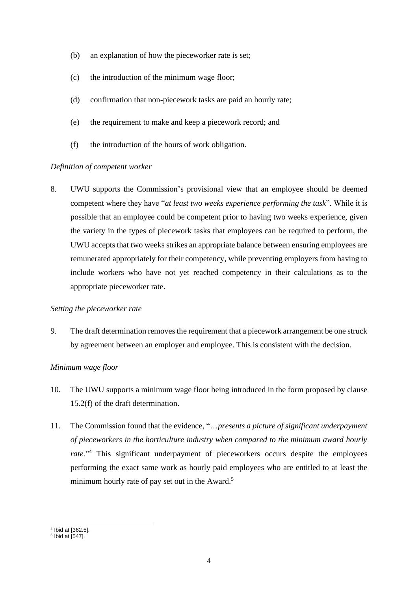- (b) an explanation of how the pieceworker rate is set;
- (c) the introduction of the minimum wage floor;
- (d) confirmation that non-piecework tasks are paid an hourly rate;
- (e) the requirement to make and keep a piecework record; and
- (f) the introduction of the hours of work obligation.

#### *Definition of competent worker*

8. UWU supports the Commission's provisional view that an employee should be deemed competent where they have "*at least two weeks experience performing the task*". While it is possible that an employee could be competent prior to having two weeks experience, given the variety in the types of piecework tasks that employees can be required to perform, the UWU accepts that two weeks strikes an appropriate balance between ensuring employees are remunerated appropriately for their competency, while preventing employers from having to include workers who have not yet reached competency in their calculations as to the appropriate pieceworker rate.

#### *Setting the pieceworker rate*

9. The draft determination removes the requirement that a piecework arrangement be one struck by agreement between an employer and employee. This is consistent with the decision.

#### *Minimum wage floor*

- 10. The UWU supports a minimum wage floor being introduced in the form proposed by clause 15.2(f) of the draft determination.
- 11. The Commission found that the evidence, "…*presents a picture of significant underpayment of pieceworkers in the horticulture industry when compared to the minimum award hourly rate*."<sup>4</sup> This significant underpayment of pieceworkers occurs despite the employees performing the exact same work as hourly paid employees who are entitled to at least the minimum hourly rate of pay set out in the Award.<sup>5</sup>

<sup>4</sup> Ibid at [362.5].

<sup>5</sup> Ibid at [547].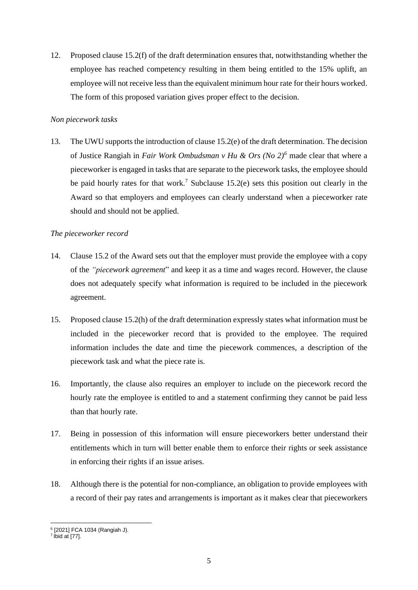12. Proposed clause 15.2(f) of the draft determination ensures that, notwithstanding whether the employee has reached competency resulting in them being entitled to the 15% uplift, an employee will not receive less than the equivalent minimum hour rate for their hours worked. The form of this proposed variation gives proper effect to the decision.

## *Non piecework tasks*

13. The UWU supports the introduction of clause 15.2(e) of the draft determination. The decision of Justice Rangiah in *Fair Work Ombudsman v Hu & Ors (No 2)<sup>6</sup>* made clear that where a pieceworker is engaged in tasks that are separate to the piecework tasks, the employee should be paid hourly rates for that work.<sup>7</sup> Subclause 15.2(e) sets this position out clearly in the Award so that employers and employees can clearly understand when a pieceworker rate should and should not be applied.

# *The pieceworker record*

- 14. Clause 15.2 of the Award sets out that the employer must provide the employee with a copy of the *"piecework agreement*" and keep it as a time and wages record. However, the clause does not adequately specify what information is required to be included in the piecework agreement.
- 15. Proposed clause 15.2(h) of the draft determination expressly states what information must be included in the pieceworker record that is provided to the employee. The required information includes the date and time the piecework commences, a description of the piecework task and what the piece rate is.
- 16. Importantly, the clause also requires an employer to include on the piecework record the hourly rate the employee is entitled to and a statement confirming they cannot be paid less than that hourly rate.
- 17. Being in possession of this information will ensure pieceworkers better understand their entitlements which in turn will better enable them to enforce their rights or seek assistance in enforcing their rights if an issue arises.
- 18. Although there is the potential for non-compliance, an obligation to provide employees with a record of their pay rates and arrangements is important as it makes clear that pieceworkers

<sup>&</sup>lt;sup>6</sup> [2021] FCA 1034 (Rangiah J).<br><sup>7</sup> Ibid at [77].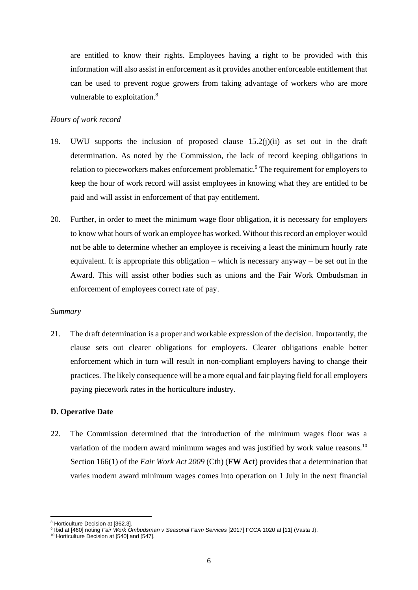are entitled to know their rights. Employees having a right to be provided with this information will also assist in enforcement as it provides another enforceable entitlement that can be used to prevent rogue growers from taking advantage of workers who are more vulnerable to exploitation.<sup>8</sup>

#### *Hours of work record*

- 19. UWU supports the inclusion of proposed clause 15.2(j)(ii) as set out in the draft determination. As noted by the Commission, the lack of record keeping obligations in relation to pieceworkers makes enforcement problematic.<sup>9</sup> The requirement for employers to keep the hour of work record will assist employees in knowing what they are entitled to be paid and will assist in enforcement of that pay entitlement.
- 20. Further, in order to meet the minimum wage floor obligation, it is necessary for employers to know what hours of work an employee has worked. Without this record an employer would not be able to determine whether an employee is receiving a least the minimum hourly rate equivalent. It is appropriate this obligation – which is necessary anyway – be set out in the Award. This will assist other bodies such as unions and the Fair Work Ombudsman in enforcement of employees correct rate of pay.

#### *Summary*

21. The draft determination is a proper and workable expression of the decision. Importantly, the clause sets out clearer obligations for employers. Clearer obligations enable better enforcement which in turn will result in non-compliant employers having to change their practices. The likely consequence will be a more equal and fair playing field for all employers paying piecework rates in the horticulture industry.

#### **D. Operative Date**

22. The Commission determined that the introduction of the minimum wages floor was a variation of the modern award minimum wages and was justified by work value reasons.<sup>10</sup> Section 166(1) of the *Fair Work Act 2009* (Cth) (**FW Act**) provides that a determination that varies modern award minimum wages comes into operation on 1 July in the next financial

<sup>8</sup> Horticulture Decision at [362.3].

<sup>9</sup> Ibid at [460] noting *Fair Work Ombudsman v Seasonal Farm Services* [2017] FCCA 1020 at [11] (Vasta J).

<sup>&</sup>lt;sup>10</sup> Horticulture Decision at [540] and [547].